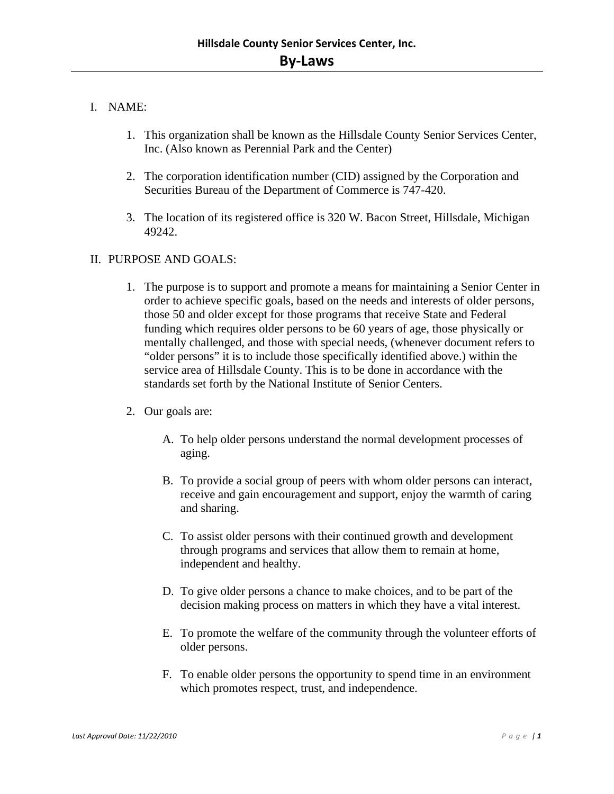# I. NAME:

- 1. This organization shall be known as the Hillsdale County Senior Services Center, Inc. (Also known as Perennial Park and the Center)
- 2. The corporation identification number (CID) assigned by the Corporation and Securities Bureau of the Department of Commerce is 747-420.
- 3. The location of its registered office is 320 W. Bacon Street, Hillsdale, Michigan 49242.

## II. PURPOSE AND GOALS:

- 1. The purpose is to support and promote a means for maintaining a Senior Center in order to achieve specific goals, based on the needs and interests of older persons, those 50 and older except for those programs that receive State and Federal funding which requires older persons to be 60 years of age, those physically or mentally challenged, and those with special needs, (whenever document refers to "older persons" it is to include those specifically identified above.) within the service area of Hillsdale County. This is to be done in accordance with the standards set forth by the National Institute of Senior Centers.
- 2. Our goals are:
	- A. To help older persons understand the normal development processes of aging.
	- B. To provide a social group of peers with whom older persons can interact, receive and gain encouragement and support, enjoy the warmth of caring and sharing.
	- C. To assist older persons with their continued growth and development through programs and services that allow them to remain at home, independent and healthy.
	- D. To give older persons a chance to make choices, and to be part of the decision making process on matters in which they have a vital interest.
	- E. To promote the welfare of the community through the volunteer efforts of older persons.
	- F. To enable older persons the opportunity to spend time in an environment which promotes respect, trust, and independence.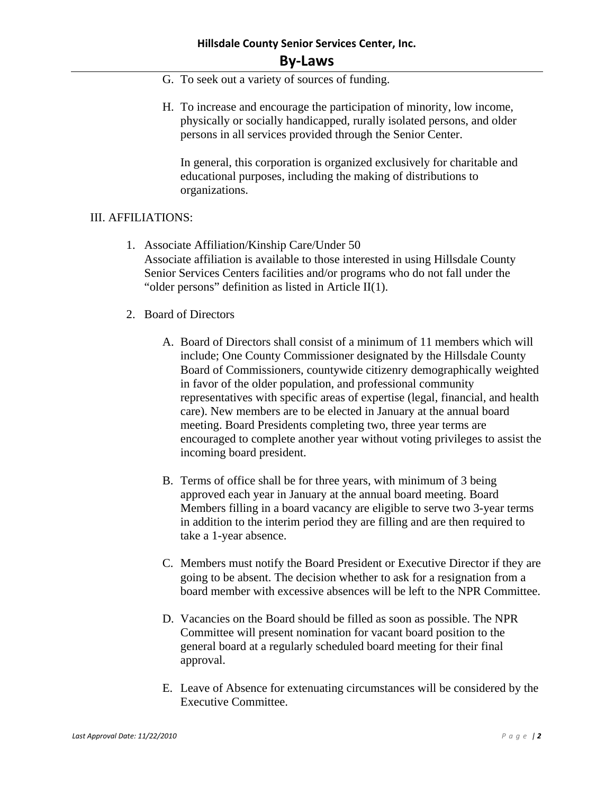# **Hillsdale County Senior Services Center, Inc. By‐Laws**

- G. To seek out a variety of sources of funding.
- H. To increase and encourage the participation of minority, low income, physically or socially handicapped, rurally isolated persons, and older persons in all services provided through the Senior Center.

In general, this corporation is organized exclusively for charitable and educational purposes, including the making of distributions to organizations.

#### III. AFFILIATIONS:

- 1. Associate Affiliation/Kinship Care/Under 50 Associate affiliation is available to those interested in using Hillsdale County Senior Services Centers facilities and/or programs who do not fall under the "older persons" definition as listed in Article II(1).
- 2. Board of Directors
	- A. Board of Directors shall consist of a minimum of 11 members which will include; One County Commissioner designated by the Hillsdale County Board of Commissioners, countywide citizenry demographically weighted in favor of the older population, and professional community representatives with specific areas of expertise (legal, financial, and health care). New members are to be elected in January at the annual board meeting. Board Presidents completing two, three year terms are encouraged to complete another year without voting privileges to assist the incoming board president.
	- B. Terms of office shall be for three years, with minimum of 3 being approved each year in January at the annual board meeting. Board Members filling in a board vacancy are eligible to serve two 3-year terms in addition to the interim period they are filling and are then required to take a 1-year absence.
	- C. Members must notify the Board President or Executive Director if they are going to be absent. The decision whether to ask for a resignation from a board member with excessive absences will be left to the NPR Committee.
	- D. Vacancies on the Board should be filled as soon as possible. The NPR Committee will present nomination for vacant board position to the general board at a regularly scheduled board meeting for their final approval.
	- E. Leave of Absence for extenuating circumstances will be considered by the Executive Committee.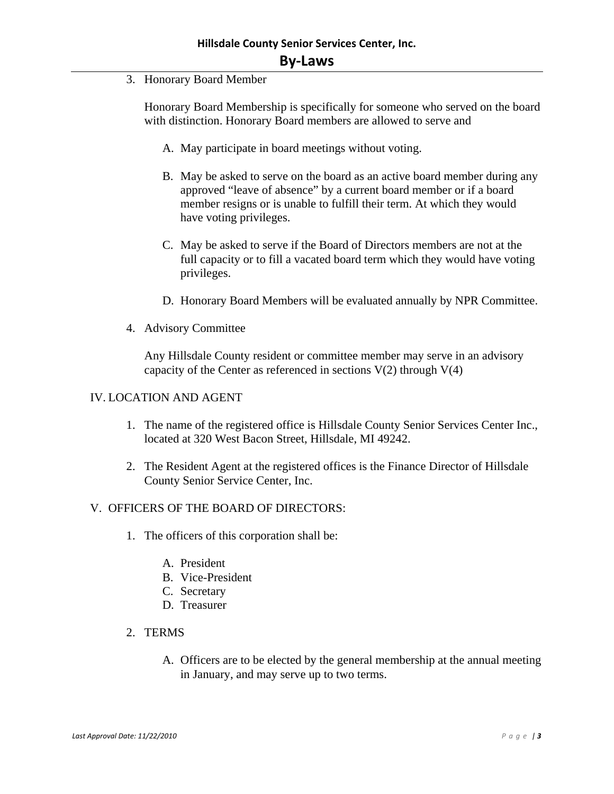3. Honorary Board Member

Honorary Board Membership is specifically for someone who served on the board with distinction. Honorary Board members are allowed to serve and

- A. May participate in board meetings without voting.
- B. May be asked to serve on the board as an active board member during any approved "leave of absence" by a current board member or if a board member resigns or is unable to fulfill their term. At which they would have voting privileges.
- C. May be asked to serve if the Board of Directors members are not at the full capacity or to fill a vacated board term which they would have voting privileges.
- D. Honorary Board Members will be evaluated annually by NPR Committee.
- 4. Advisory Committee

Any Hillsdale County resident or committee member may serve in an advisory capacity of the Center as referenced in sections  $V(2)$  through  $V(4)$ 

#### IV. LOCATION AND AGENT

- 1. The name of the registered office is Hillsdale County Senior Services Center Inc., located at 320 West Bacon Street, Hillsdale, MI 49242.
- 2. The Resident Agent at the registered offices is the Finance Director of Hillsdale County Senior Service Center, Inc.

#### V. OFFICERS OF THE BOARD OF DIRECTORS:

- 1. The officers of this corporation shall be:
	- A. President
	- B. Vice-President
	- C. Secretary
	- D. Treasurer
- 2. TERMS
	- A. Officers are to be elected by the general membership at the annual meeting in January, and may serve up to two terms.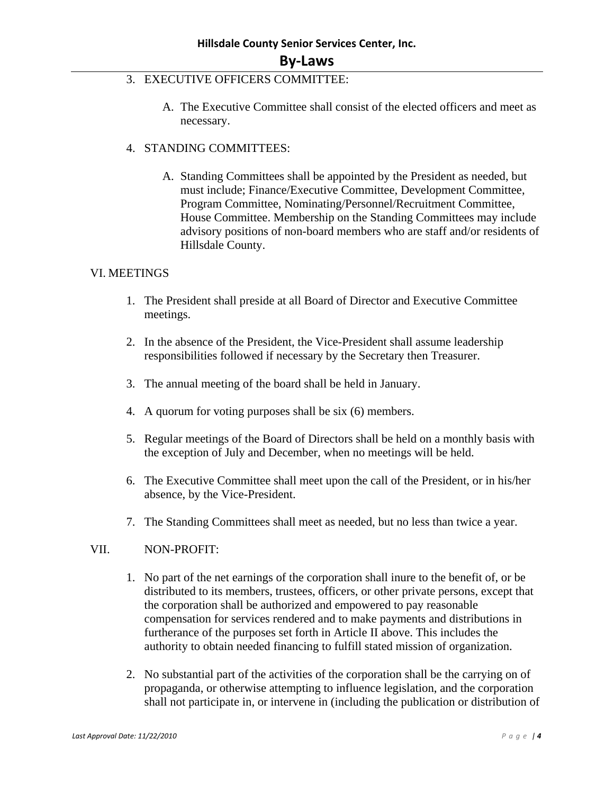- 3. EXECUTIVE OFFICERS COMMITTEE:
	- A. The Executive Committee shall consist of the elected officers and meet as necessary.
- 4. STANDING COMMITTEES:
	- A. Standing Committees shall be appointed by the President as needed, but must include; Finance/Executive Committee, Development Committee, Program Committee, Nominating/Personnel/Recruitment Committee, House Committee. Membership on the Standing Committees may include advisory positions of non-board members who are staff and/or residents of Hillsdale County.

#### VI. MEETINGS

- 1. The President shall preside at all Board of Director and Executive Committee meetings.
- 2. In the absence of the President, the Vice-President shall assume leadership responsibilities followed if necessary by the Secretary then Treasurer.
- 3. The annual meeting of the board shall be held in January.
- 4. A quorum for voting purposes shall be six (6) members.
- 5. Regular meetings of the Board of Directors shall be held on a monthly basis with the exception of July and December, when no meetings will be held.
- 6. The Executive Committee shall meet upon the call of the President, or in his/her absence, by the Vice-President.
- 7. The Standing Committees shall meet as needed, but no less than twice a year.

#### VII. NON-PROFIT:

- 1. No part of the net earnings of the corporation shall inure to the benefit of, or be distributed to its members, trustees, officers, or other private persons, except that the corporation shall be authorized and empowered to pay reasonable compensation for services rendered and to make payments and distributions in furtherance of the purposes set forth in Article II above. This includes the authority to obtain needed financing to fulfill stated mission of organization.
- 2. No substantial part of the activities of the corporation shall be the carrying on of propaganda, or otherwise attempting to influence legislation, and the corporation shall not participate in, or intervene in (including the publication or distribution of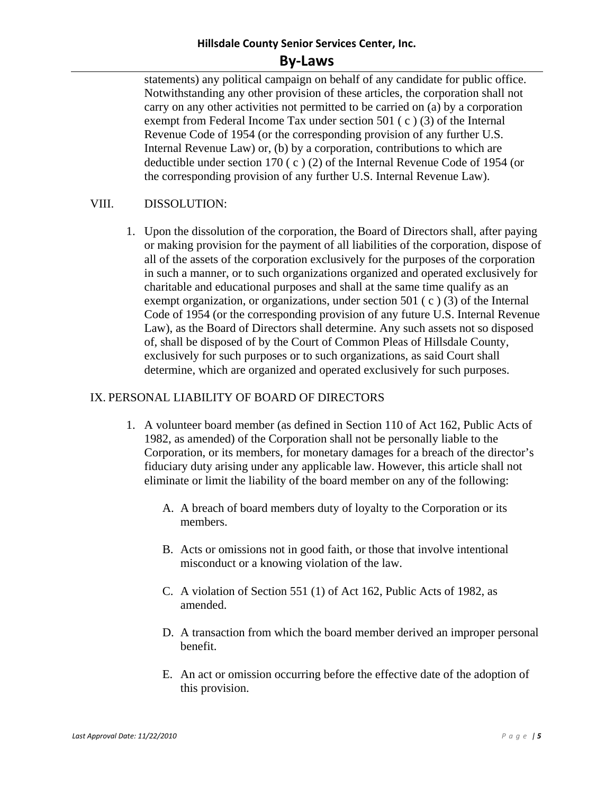# **Hillsdale County Senior Services Center, Inc.**

# **By‐Laws**

statements) any political campaign on behalf of any candidate for public office. Notwithstanding any other provision of these articles, the corporation shall not carry on any other activities not permitted to be carried on (a) by a corporation exempt from Federal Income Tax under section 501 ( c ) (3) of the Internal Revenue Code of 1954 (or the corresponding provision of any further U.S. Internal Revenue Law) or, (b) by a corporation, contributions to which are deductible under section 170 ( c ) (2) of the Internal Revenue Code of 1954 (or the corresponding provision of any further U.S. Internal Revenue Law).

#### VIII. DISSOLUTION:

1. Upon the dissolution of the corporation, the Board of Directors shall, after paying or making provision for the payment of all liabilities of the corporation, dispose of all of the assets of the corporation exclusively for the purposes of the corporation in such a manner, or to such organizations organized and operated exclusively for charitable and educational purposes and shall at the same time qualify as an exempt organization, or organizations, under section 501 ( c ) (3) of the Internal Code of 1954 (or the corresponding provision of any future U.S. Internal Revenue Law), as the Board of Directors shall determine. Any such assets not so disposed of, shall be disposed of by the Court of Common Pleas of Hillsdale County, exclusively for such purposes or to such organizations, as said Court shall determine, which are organized and operated exclusively for such purposes.

#### IX. PERSONAL LIABILITY OF BOARD OF DIRECTORS

- 1. A volunteer board member (as defined in Section 110 of Act 162, Public Acts of 1982, as amended) of the Corporation shall not be personally liable to the Corporation, or its members, for monetary damages for a breach of the director's fiduciary duty arising under any applicable law. However, this article shall not eliminate or limit the liability of the board member on any of the following:
	- A. A breach of board members duty of loyalty to the Corporation or its members.
	- B. Acts or omissions not in good faith, or those that involve intentional misconduct or a knowing violation of the law.
	- C. A violation of Section 551 (1) of Act 162, Public Acts of 1982, as amended.
	- D. A transaction from which the board member derived an improper personal benefit.
	- E. An act or omission occurring before the effective date of the adoption of this provision.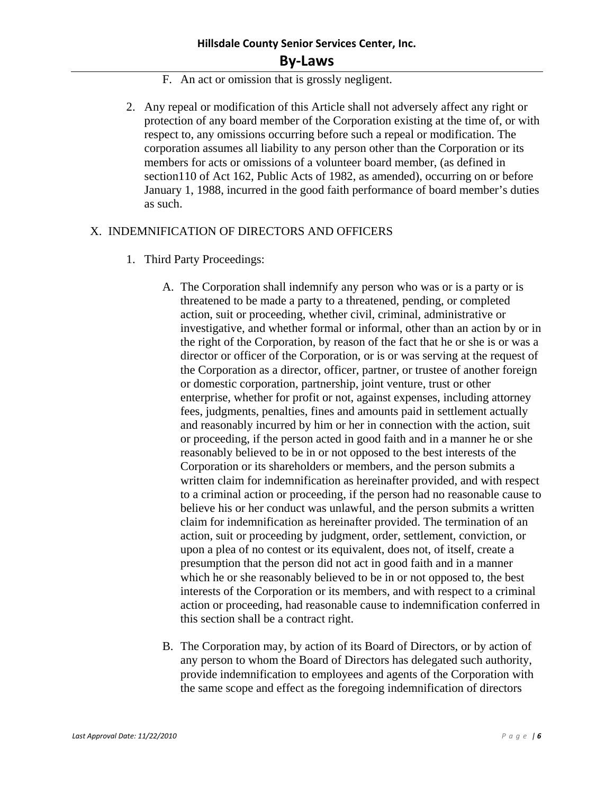- F. An act or omission that is grossly negligent.
- 2. Any repeal or modification of this Article shall not adversely affect any right or protection of any board member of the Corporation existing at the time of, or with respect to, any omissions occurring before such a repeal or modification. The corporation assumes all liability to any person other than the Corporation or its members for acts or omissions of a volunteer board member, (as defined in section110 of Act 162, Public Acts of 1982, as amended), occurring on or before January 1, 1988, incurred in the good faith performance of board member's duties as such.

#### X. INDEMNIFICATION OF DIRECTORS AND OFFICERS

- 1. Third Party Proceedings:
	- A. The Corporation shall indemnify any person who was or is a party or is threatened to be made a party to a threatened, pending, or completed action, suit or proceeding, whether civil, criminal, administrative or investigative, and whether formal or informal, other than an action by or in the right of the Corporation, by reason of the fact that he or she is or was a director or officer of the Corporation, or is or was serving at the request of the Corporation as a director, officer, partner, or trustee of another foreign or domestic corporation, partnership, joint venture, trust or other enterprise, whether for profit or not, against expenses, including attorney fees, judgments, penalties, fines and amounts paid in settlement actually and reasonably incurred by him or her in connection with the action, suit or proceeding, if the person acted in good faith and in a manner he or she reasonably believed to be in or not opposed to the best interests of the Corporation or its shareholders or members, and the person submits a written claim for indemnification as hereinafter provided, and with respect to a criminal action or proceeding, if the person had no reasonable cause to believe his or her conduct was unlawful, and the person submits a written claim for indemnification as hereinafter provided. The termination of an action, suit or proceeding by judgment, order, settlement, conviction, or upon a plea of no contest or its equivalent, does not, of itself, create a presumption that the person did not act in good faith and in a manner which he or she reasonably believed to be in or not opposed to, the best interests of the Corporation or its members, and with respect to a criminal action or proceeding, had reasonable cause to indemnification conferred in this section shall be a contract right.
	- B. The Corporation may, by action of its Board of Directors, or by action of any person to whom the Board of Directors has delegated such authority, provide indemnification to employees and agents of the Corporation with the same scope and effect as the foregoing indemnification of directors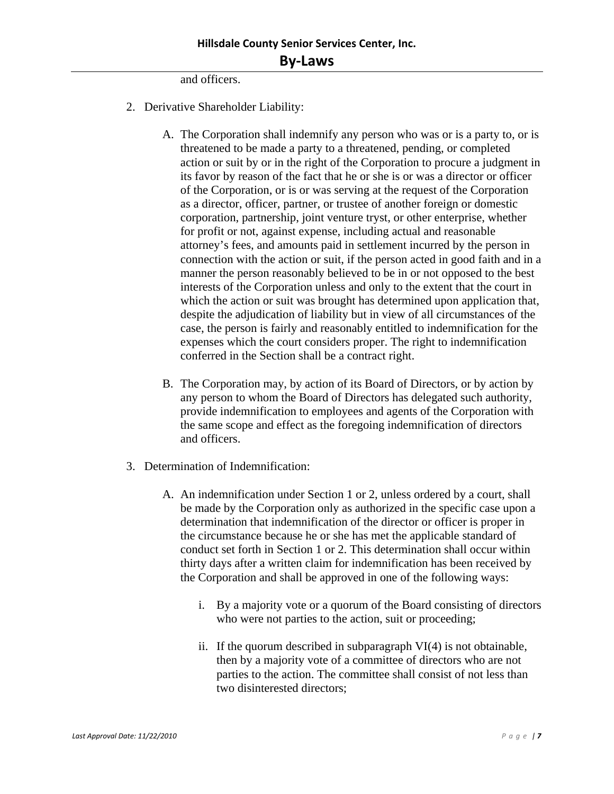and officers.

- 2. Derivative Shareholder Liability:
	- A. The Corporation shall indemnify any person who was or is a party to, or is threatened to be made a party to a threatened, pending, or completed action or suit by or in the right of the Corporation to procure a judgment in its favor by reason of the fact that he or she is or was a director or officer of the Corporation, or is or was serving at the request of the Corporation as a director, officer, partner, or trustee of another foreign or domestic corporation, partnership, joint venture tryst, or other enterprise, whether for profit or not, against expense, including actual and reasonable attorney's fees, and amounts paid in settlement incurred by the person in connection with the action or suit, if the person acted in good faith and in a manner the person reasonably believed to be in or not opposed to the best interests of the Corporation unless and only to the extent that the court in which the action or suit was brought has determined upon application that, despite the adjudication of liability but in view of all circumstances of the case, the person is fairly and reasonably entitled to indemnification for the expenses which the court considers proper. The right to indemnification conferred in the Section shall be a contract right.
	- B. The Corporation may, by action of its Board of Directors, or by action by any person to whom the Board of Directors has delegated such authority, provide indemnification to employees and agents of the Corporation with the same scope and effect as the foregoing indemnification of directors and officers.
- 3. Determination of Indemnification:
	- A. An indemnification under Section 1 or 2, unless ordered by a court, shall be made by the Corporation only as authorized in the specific case upon a determination that indemnification of the director or officer is proper in the circumstance because he or she has met the applicable standard of conduct set forth in Section 1 or 2. This determination shall occur within thirty days after a written claim for indemnification has been received by the Corporation and shall be approved in one of the following ways:
		- i. By a majority vote or a quorum of the Board consisting of directors who were not parties to the action, suit or proceeding;
		- ii. If the quorum described in subparagraph VI(4) is not obtainable, then by a majority vote of a committee of directors who are not parties to the action. The committee shall consist of not less than two disinterested directors;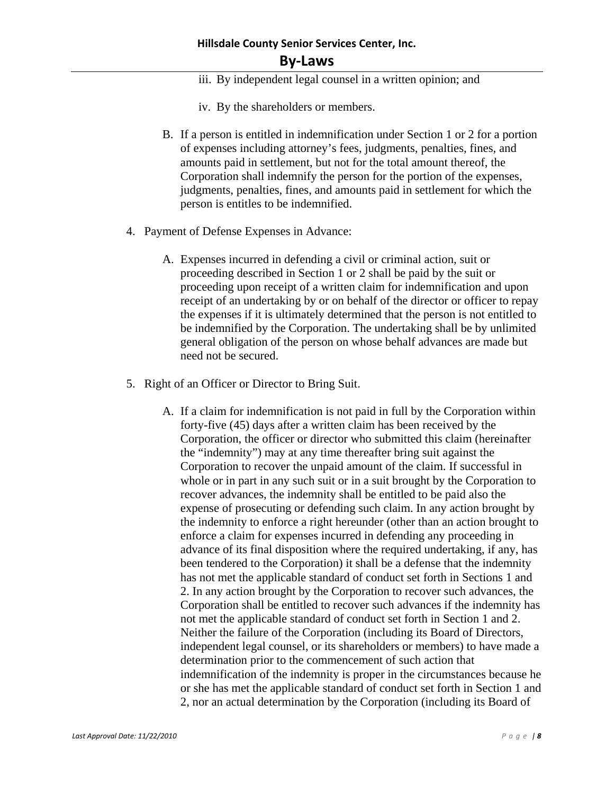# **Hillsdale County Senior Services Center, Inc.**

# **By‐Laws**

- iii. By independent legal counsel in a written opinion; and
- iv. By the shareholders or members.
- B. If a person is entitled in indemnification under Section 1 or 2 for a portion of expenses including attorney's fees, judgments, penalties, fines, and amounts paid in settlement, but not for the total amount thereof, the Corporation shall indemnify the person for the portion of the expenses, judgments, penalties, fines, and amounts paid in settlement for which the person is entitles to be indemnified.
- 4. Payment of Defense Expenses in Advance:
	- A. Expenses incurred in defending a civil or criminal action, suit or proceeding described in Section 1 or 2 shall be paid by the suit or proceeding upon receipt of a written claim for indemnification and upon receipt of an undertaking by or on behalf of the director or officer to repay the expenses if it is ultimately determined that the person is not entitled to be indemnified by the Corporation. The undertaking shall be by unlimited general obligation of the person on whose behalf advances are made but need not be secured.
- 5. Right of an Officer or Director to Bring Suit.
	- A. If a claim for indemnification is not paid in full by the Corporation within forty-five (45) days after a written claim has been received by the Corporation, the officer or director who submitted this claim (hereinafter the "indemnity") may at any time thereafter bring suit against the Corporation to recover the unpaid amount of the claim. If successful in whole or in part in any such suit or in a suit brought by the Corporation to recover advances, the indemnity shall be entitled to be paid also the expense of prosecuting or defending such claim. In any action brought by the indemnity to enforce a right hereunder (other than an action brought to enforce a claim for expenses incurred in defending any proceeding in advance of its final disposition where the required undertaking, if any, has been tendered to the Corporation) it shall be a defense that the indemnity has not met the applicable standard of conduct set forth in Sections 1 and 2. In any action brought by the Corporation to recover such advances, the Corporation shall be entitled to recover such advances if the indemnity has not met the applicable standard of conduct set forth in Section 1 and 2. Neither the failure of the Corporation (including its Board of Directors, independent legal counsel, or its shareholders or members) to have made a determination prior to the commencement of such action that indemnification of the indemnity is proper in the circumstances because he or she has met the applicable standard of conduct set forth in Section 1 and 2, nor an actual determination by the Corporation (including its Board of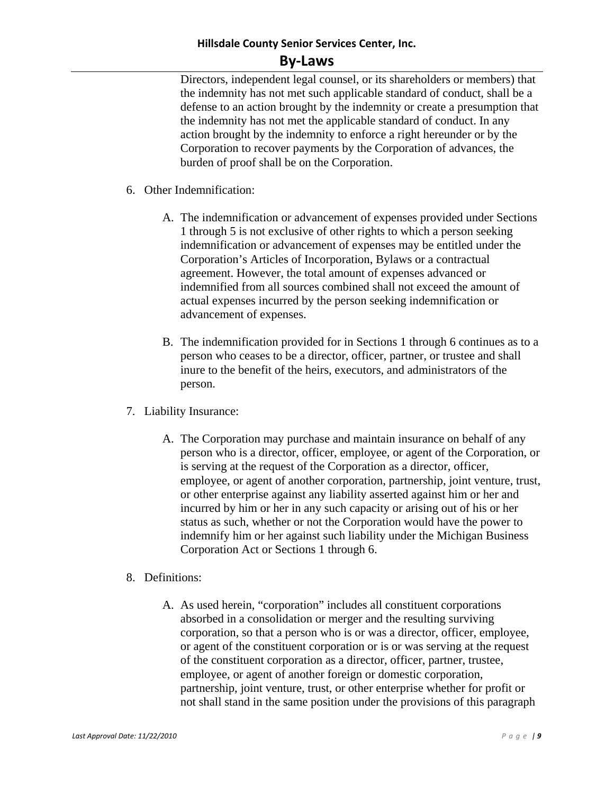## **Hillsdale County Senior Services Center, Inc.**

#### **By‐Laws**

Directors, independent legal counsel, or its shareholders or members) that the indemnity has not met such applicable standard of conduct, shall be a defense to an action brought by the indemnity or create a presumption that the indemnity has not met the applicable standard of conduct. In any action brought by the indemnity to enforce a right hereunder or by the Corporation to recover payments by the Corporation of advances, the burden of proof shall be on the Corporation.

- 6. Other Indemnification:
	- A. The indemnification or advancement of expenses provided under Sections 1 through 5 is not exclusive of other rights to which a person seeking indemnification or advancement of expenses may be entitled under the Corporation's Articles of Incorporation, Bylaws or a contractual agreement. However, the total amount of expenses advanced or indemnified from all sources combined shall not exceed the amount of actual expenses incurred by the person seeking indemnification or advancement of expenses.
	- B. The indemnification provided for in Sections 1 through 6 continues as to a person who ceases to be a director, officer, partner, or trustee and shall inure to the benefit of the heirs, executors, and administrators of the person.
- 7. Liability Insurance:
	- A. The Corporation may purchase and maintain insurance on behalf of any person who is a director, officer, employee, or agent of the Corporation, or is serving at the request of the Corporation as a director, officer, employee, or agent of another corporation, partnership, joint venture, trust, or other enterprise against any liability asserted against him or her and incurred by him or her in any such capacity or arising out of his or her status as such, whether or not the Corporation would have the power to indemnify him or her against such liability under the Michigan Business Corporation Act or Sections 1 through 6.

#### 8. Definitions:

A. As used herein, "corporation" includes all constituent corporations absorbed in a consolidation or merger and the resulting surviving corporation, so that a person who is or was a director, officer, employee, or agent of the constituent corporation or is or was serving at the request of the constituent corporation as a director, officer, partner, trustee, employee, or agent of another foreign or domestic corporation, partnership, joint venture, trust, or other enterprise whether for profit or not shall stand in the same position under the provisions of this paragraph